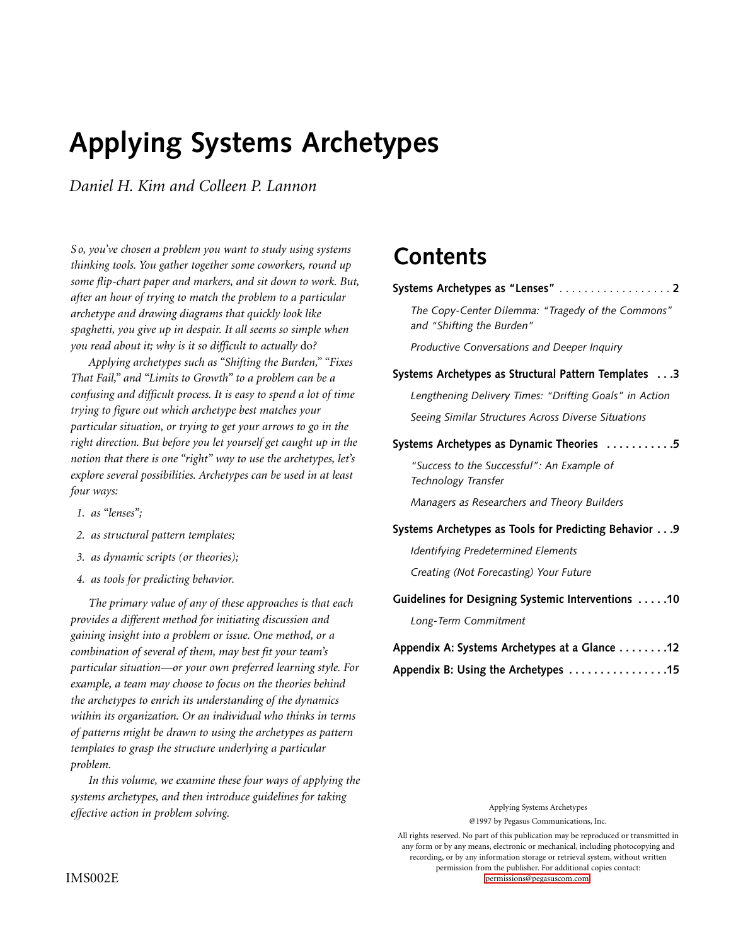# **Applying Systems Archetypes**

*Daniel H. Kim and Colleen P. Lannon*

*S o, you've chosen a problem you want to study using systems thinking tools. You gather together some coworkers, round up some flip-chart paper and markers, and sit down to work. But, after an hour of trying to match the problem to a particular archetype and drawing diagrams that quickly look like spaghetti, you give up in despair. It all seems so simple when you read about it; why is it so difficult to actually* do*?*

*Applying archetypes such as "Shifting the Burden," "Fixes That Fail," and "Limits to Growth" to a problem can be a confusing and difficult process. It is easy to spend a lot of time trying to figure out which archetype best matches your particular situation, or trying to get your arrows to go in the right direction. But before you let yourself get caught up in the notion that there is one "right" way to use the archetypes, let's explore several possibilities. Archetypes can be used in at least four ways:*

- *1. as "lenses";*
- *2. as structural pattern templates;*
- *3. as dynamic scripts (or theories);*
- *4. as tools for predicting behavior.*

*The primary value of any of these approaches is that each provides a different method for initiating discussion and gaining insight into a problem or issue. One method, or a combination of several of them, may best fit your team's particular situation—or your own preferred learning style. For example, a team may choose to focus on the theories behind the archetypes to enrich its understanding of the dynamics within its organization. Or an individual who thinks in terms of patterns might be drawn to using the archetypes as pattern templates to grasp the structure underlying a particular problem.*

*In this volume, we examine these four ways of applying the systems archetypes, and then introduce guidelines for taking effective action in problem solving.*

# **Contents**

# **[Systems Archetypes as "Lenses"](#page-1-0)** . . . . . . . . . . . . . . . . . . **2**

*The Copy-Center Dilemma: "Tragedy of the Commons" and "Shifting the Burden"*

*Productive Conversations and Deeper Inquiry*

# **[Systems Archetypes as Structural Pattern Templates . . .3](#page-2-0)**

*Lengthening Delivery Times: "Drifting Goals" in Action Seeing Similar Structures Across Diverse Situations*

# **[Systems Archetypes as Dynamic Theories . . . . . . . . . . .5](#page-4-0)**

*"Success to the Successful": An Example of Technology Transfer*

*Managers as Researchers and Theory Builders*

# **[Systems Archetypes as Tools for Predicting Behavior . . .9](#page-8-0)**

*Identifying Predetermined Elements Creating (Not Forecasting) Your Future*

# **[Guidelines for Designing Systemic Interventions . . . . .10](#page-9-0)**

*Long-Term Commitment*

| Appendix A: Systems Archetypes at a Glance 12 |  |
|-----------------------------------------------|--|
| Appendix B: Using the Archetypes 15           |  |

Applying Systems Archetypes

@1997 by Pegasus Communications, Inc.

All rights reserved. No part of this publication may be reproduced or transmitted in any form or by any means, electronic or mechanical, including photocopying and recording, or by any information storage or retrieval system, without written permission from the publisher. For additional copies contact: IMS002E [permissions@pegasuscom.com.](mailto:permissions@pegasuscom.com)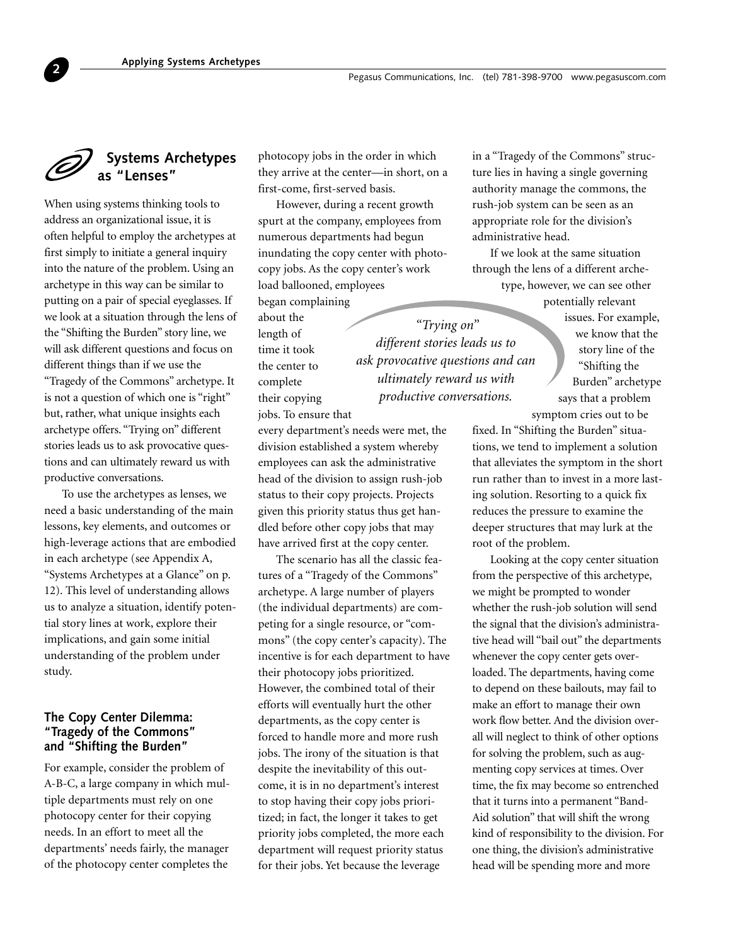# **Systems Archetypes as "Lenses"**

<span id="page-1-0"></span>**2**

When using systems thinking tools to address an organizational issue, it is often helpful to employ the archetypes at first simply to initiate a general inquiry into the nature of the problem. Using an archetype in this way can be similar to putting on a pair of special eyeglasses. If we look at a situation through the lens of the "Shifting the Burden" story line, we will ask different questions and focus on different things than if we use the "Tragedy of the Commons" archetype. It is not a question of which one is "right" but, rather, what unique insights each archetype offers. "Trying on" different stories leads us to ask provocative questions and can ultimately reward us with productive conversations.

To use the archetypes as lenses, we need a basic understanding of the main lessons, key elements, and outcomes or high-leverage actions that are embodied in each archetype (see Appendix A, "Systems Archetypes at a Glance" on p. 12). This level of understanding allows us to analyze a situation, identify potential story lines at work, explore their implications, and gain some initial understanding of the problem under study.

# **The Copy Center Dilemma: "Tragedy of the Commons" and "Shifting the Burden"**

For example, consider the problem of A-B-C, a large company in which multiple departments must rely on one photocopy center for their copying needs. In an effort to meet all the departments' needs fairly, the manager of the photocopy center completes the

photocopy jobs in the order in which they arrive at the center—in short, on a first-come, first-served basis.

However, during a recent growth spurt at the company, employees from numerous departments had begun inundating the copy center with photocopy jobs. As the copy center's work load ballooned, employees

began complaining about the length of time it took the center to complete their copying jobs. To ensure that

*"Trying on" different stories leads us to ask provocative questions and can ultimately reward us with productive conversations.*

every department's needs were met, the division established a system whereby employees can ask the administrative head of the division to assign rush-job status to their copy projects. Projects given this priority status thus get handled before other copy jobs that may have arrived first at the copy center.

The scenario has all the classic features of a "Tragedy of the Commons" archetype. A large number of players (the individual departments) are competing for a single resource, or "commons" (the copy center's capacity). The incentive is for each department to have their photocopy jobs prioritized. However, the combined total of their efforts will eventually hurt the other departments, as the copy center is forced to handle more and more rush jobs. The irony of the situation is that despite the inevitability of this outcome, it is in no department's interest to stop having their copy jobs prioritized; in fact, the longer it takes to get priority jobs completed, the more each department will request priority status for their jobs. Yet because the leverage

in a "Tragedy of the Commons" structure lies in having a single governing authority manage the commons, the rush-job system can be seen as an appropriate role for the division's administrative head.

If we look at the same situation through the lens of a different archetype, however, we can see other

potentially relevant issues. For example, we know that the story line of the "Shifting the Burden" archetype says that a problem symptom cries out to be

fixed. In "Shifting the Burden" situations, we tend to implement a solution that alleviates the symptom in the short run rather than to invest in a more lasting solution. Resorting to a quick fix reduces the pressure to examine the deeper structures that may lurk at the root of the problem.

Looking at the copy center situation from the perspective of this archetype, we might be prompted to wonder whether the rush-job solution will send the signal that the division's administrative head will "bail out" the departments whenever the copy center gets overloaded. The departments, having come to depend on these bailouts, may fail to make an effort to manage their own work flow better. And the division overall will neglect to think of other options for solving the problem, such as augmenting copy services at times. Over time, the fix may become so entrenched that it turns into a permanent "Band-Aid solution" that will shift the wrong kind of responsibility to the division. For one thing, the division's administrative head will be spending more and more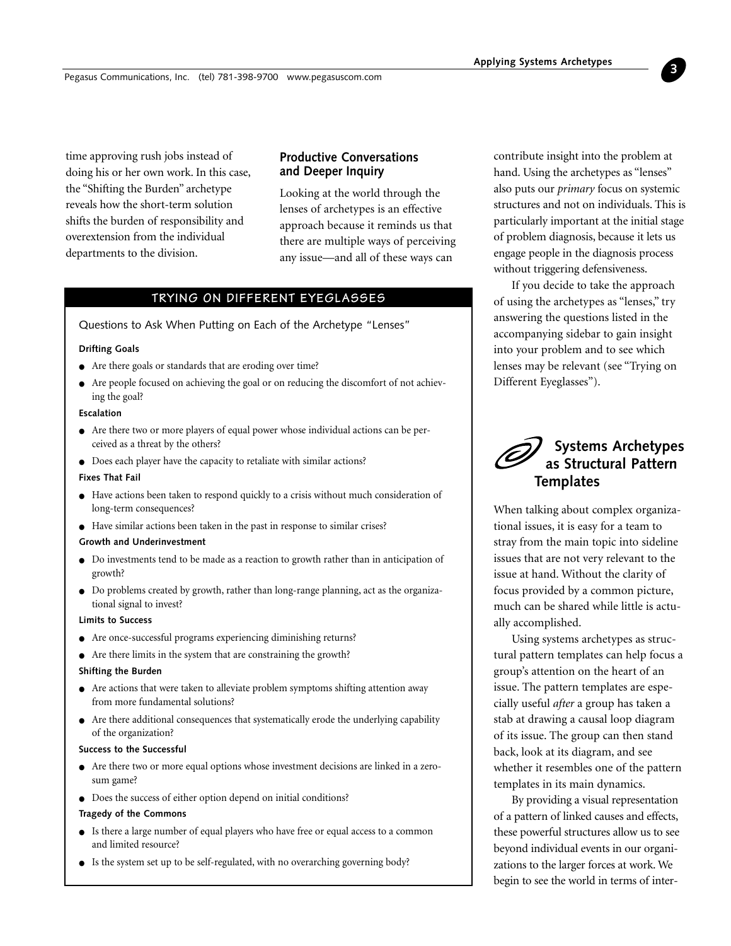<span id="page-2-0"></span>time approving rush jobs instead of doing his or her own work. In this case, the "Shifting the Burden" archetype reveals how the short-term solution shifts the burden of responsibility and overextension from the individual departments to the division.

# **Productive Conversations and Deeper Inquiry**

Looking at the world through the lenses of archetypes is an effective approach because it reminds us that there are multiple ways of perceiving any issue—and all of these ways can

# **TRYING ON DIFFERENT EYEGLASSES**

Questions to Ask When Putting on Each of the Archetype "Lenses"

#### **Drifting Goals**

- Are there goals or standards that are eroding over time?
- Are people focused on achieving the goal or on reducing the discomfort of not achieving the goal?

#### **Escalation**

- Are there two or more players of equal power whose individual actions can be perceived as a threat by the others?
- Does each player have the capacity to retaliate with similar actions?

#### **Fixes That Fail**

- Have actions been taken to respond quickly to a crisis without much consideration of long-term consequences?
- Have similar actions been taken in the past in response to similar crises?

#### **Growth and Underinvestment**

- Do investments tend to be made as a reaction to growth rather than in anticipation of growth?
- Do problems created by growth, rather than long-range planning, act as the organizational signal to invest?

#### **Limits to Success**

- Are once-successful programs experiencing diminishing returns?
- Are there limits in the system that are constraining the growth?

#### **Shifting the Burden**

- Are actions that were taken to alleviate problem symptoms shifting attention away from more fundamental solutions?
- Are there additional consequences that systematically erode the underlying capability of the organization?

#### **Success to the Successful**

- Are there two or more equal options whose investment decisions are linked in a zerosum game?
- Does the success of either option depend on initial conditions?

#### **Tragedy of the Commons**

- Is there a large number of equal players who have free or equal access to a common and limited resource?
- Is the system set up to be self-regulated, with no overarching governing body?

contribute insight into the problem at hand. Using the archetypes as "lenses" also puts our *primary* focus on systemic structures and not on individuals. This is particularly important at the initial stage of problem diagnosis, because it lets us engage people in the diagnosis process without triggering defensiveness.

**3**

If you decide to take the approach of using the archetypes as "lenses," try answering the questions listed in the accompanying sidebar to gain insight into your problem and to see which lenses may be relevant (see "Trying on Different Eyeglasses").

# **Systems Archetypes as Structural Pattern Templates**

When talking about complex organizational issues, it is easy for a team to stray from the main topic into sideline issues that are not very relevant to the issue at hand. Without the clarity of focus provided by a common picture, much can be shared while little is actually accomplished.

Using systems archetypes as structural pattern templates can help focus a group's attention on the heart of an issue. The pattern templates are especially useful *after* a group has taken a stab at drawing a causal loop diagram of its issue. The group can then stand back, look at its diagram, and see whether it resembles one of the pattern templates in its main dynamics.

By providing a visual representation of a pattern of linked causes and effects, these powerful structures allow us to see beyond individual events in our organizations to the larger forces at work. We begin to see the world in terms of inter-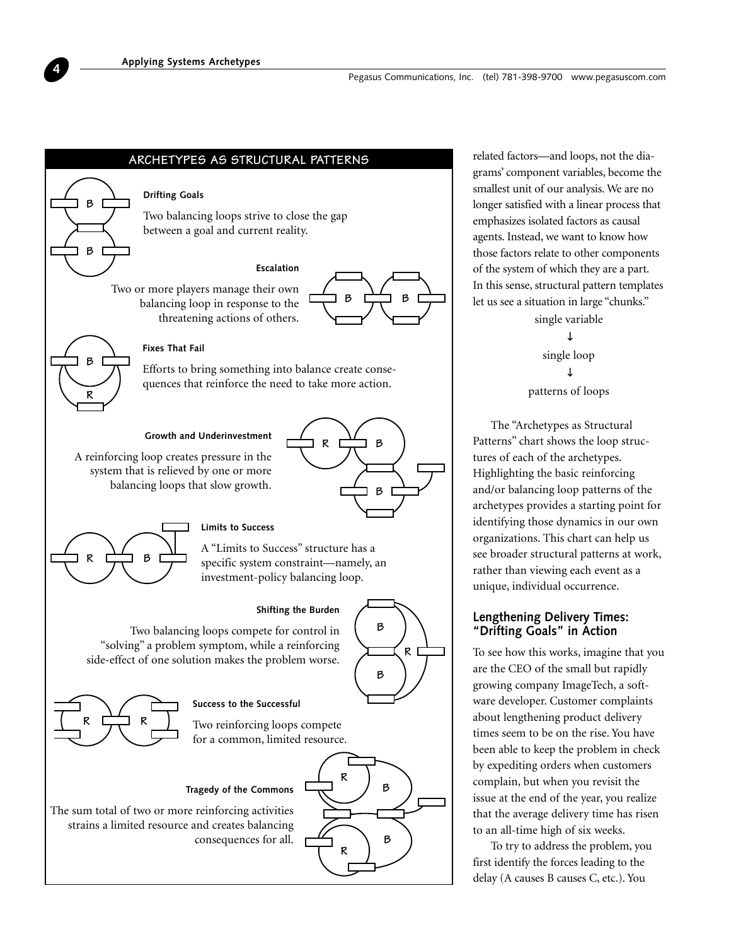**Drifting Goals**

**ARCHETYPES AS STRUCTURAL PATTERNS**



related factors—and loops, not the diagrams' component variables, become the smallest unit of our analysis. We are no longer satisfied with a linear process that emphasizes isolated factors as causal agents. Instead, we want to know how those factors relate to other components of the system of which they are a part. In this sense, structural pattern templates let us see a situation in large "chunks."

> single variable ↓ single loop ↓ patterns of loops

The "Archetypes as Structural Patterns" chart shows the loop structures of each of the archetypes. Highlighting the basic reinforcing and/or balancing loop patterns of the archetypes provides a starting point for identifying those dynamics in our own organizations. This chart can help us see broader structural patterns at work, rather than viewing each event as a unique, individual occurrence.

# **Lengthening Delivery Times: "Drifting Goals" in Action**

To see how this works, imagine that you are the CEO of the small but rapidly growing company ImageTech, a software developer. Customer complaints about lengthening product delivery times seem to be on the rise. You have been able to keep the problem in check by expediting orders when customers complain, but when you revisit the issue at the end of the year, you realize that the average delivery time has risen to an all-time high of six weeks.

To try to address the problem, you first identify the forces leading to the delay (A causes B causes C, etc.). You



**B**

**B**

**B**

**R**

"solving" a problem symptom, while a reinforcing side-effect of one solution makes the problem worse.



The sum total of two or more reinforcing activities strains a limited resource and creates balancing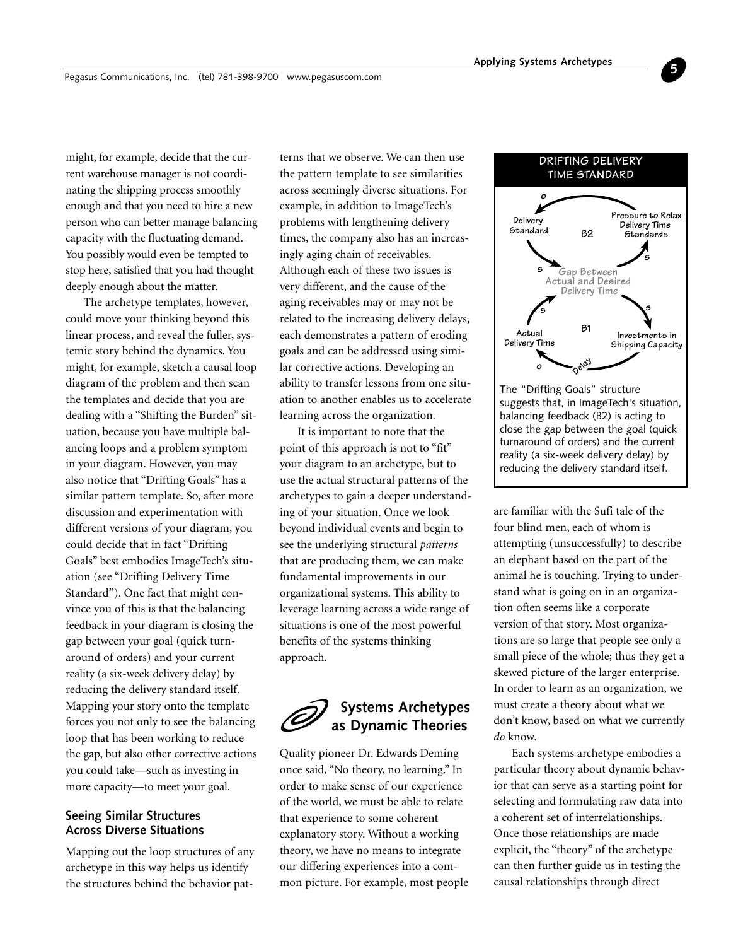<span id="page-4-0"></span>might, for example, decide that the current warehouse manager is not coordinating the shipping process smoothly enough and that you need to hire a new person who can better manage balancing capacity with the fluctuating demand. You possibly would even be tempted to stop here, satisfied that you had thought deeply enough about the matter.

The archetype templates, however, could move your thinking beyond this linear process, and reveal the fuller, systemic story behind the dynamics. You might, for example, sketch a causal loop diagram of the problem and then scan the templates and decide that you are dealing with a "Shifting the Burden" situation, because you have multiple balancing loops and a problem symptom in your diagram. However, you may also notice that "Drifting Goals" has a similar pattern template. So, after more discussion and experimentation with different versions of your diagram, you could decide that in fact "Drifting Goals" best embodies ImageTech's situation (see "Drifting Delivery Time Standard"). One fact that might convince you of this is that the balancing feedback in your diagram is closing the gap between your goal (quick turnaround of orders) and your current reality (a six-week delivery delay) by reducing the delivery standard itself. Mapping your story onto the template forces you not only to see the balancing loop that has been working to reduce the gap, but also other corrective actions you could take—such as investing in more capacity—to meet your goal.

# **Seeing Similar Structures Across Diverse Situations**

Mapping out the loop structures of any archetype in this way helps us identify the structures behind the behavior patterns that we observe. We can then use the pattern template to see similarities across seemingly diverse situations. For example, in addition to ImageTech's problems with lengthening delivery times, the company also has an increasingly aging chain of receivables. Although each of these two issues is very different, and the cause of the aging receivables may or may not be related to the increasing delivery delays, each demonstrates a pattern of eroding goals and can be addressed using similar corrective actions. Developing an ability to transfer lessons from one situation to another enables us to accelerate learning across the organization.

It is important to note that the point of this approach is not to "fit" your diagram to an archetype, but to use the actual structural patterns of the archetypes to gain a deeper understanding of your situation. Once we look beyond individual events and begin to see the underlying structural *patterns* that are producing them, we can make fundamental improvements in our organizational systems. This ability to leverage learning across a wide range of situations is one of the most powerful benefits of the systems thinking approach.



Quality pioneer Dr. Edwards Deming once said, "No theory, no learning." In order to make sense of our experience of the world, we must be able to relate that experience to some coherent explanatory story. Without a working theory, we have no means to integrate our differing experiences into a common picture. For example, most people



**5**

are familiar with the Sufi tale of the four blind men, each of whom is attempting (unsuccessfully) to describe an elephant based on the part of the animal he is touching. Trying to understand what is going on in an organization often seems like a corporate version of that story. Most organizations are so large that people see only a small piece of the whole; thus they get a skewed picture of the larger enterprise. In order to learn as an organization, we must create a theory about what we don't know, based on what we currently *do* know.

Each systems archetype embodies a particular theory about dynamic behavior that can serve as a starting point for selecting and formulating raw data into a coherent set of interrelationships. Once those relationships are made explicit, the "theory" of the archetype can then further guide us in testing the causal relationships through direct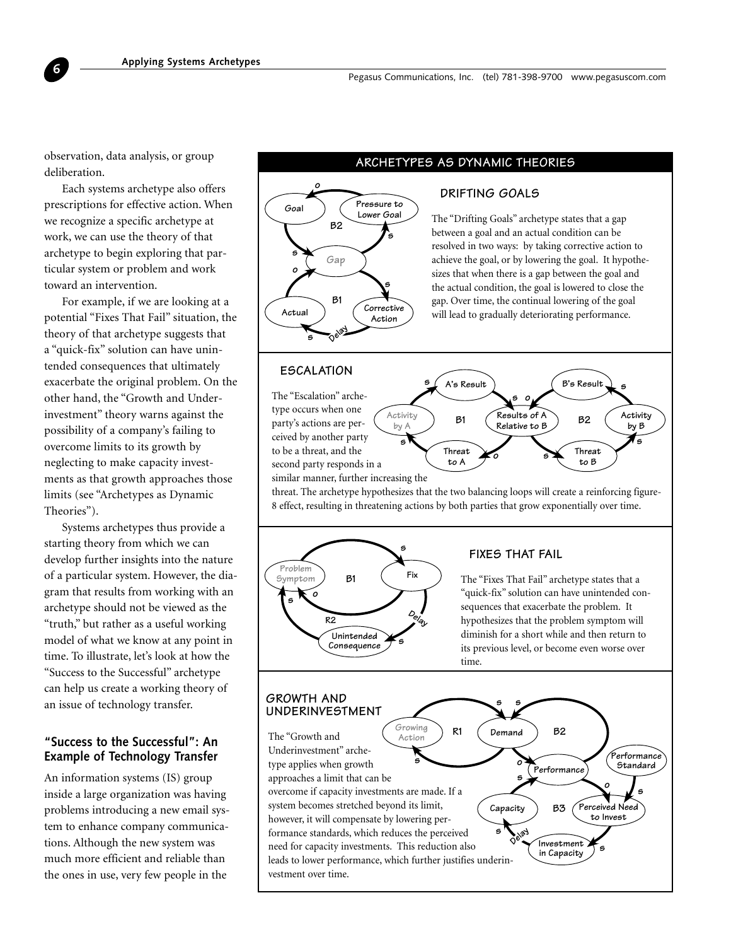**ARCHETYPES AS DYNAMIC THEORIES** observation, data analysis, or group deliberation.

**6**

Each systems archetype also offers prescriptions for effective action. When we recognize a specific archetype at work, we can use the theory of that archetype to begin exploring that particular system or problem and work toward an intervention.

For example, if we are looking at a potential "Fixes That Fail" situation, the theory of that archetype suggests that a "quick-fix" solution can have unintended consequences that ultimately exacerbate the original problem. On the other hand, the "Growth and Underinvestment" theory warns against the possibility of a company's failing to overcome limits to its growth by neglecting to make capacity investments as that growth approaches those limits (see "Archetypes as Dynamic Theories").

Systems archetypes thus provide a starting theory from which we can develop further insights into the nature of a particular system. However, the diagram that results from working with an archetype should not be viewed as the "truth," but rather as a useful working model of what we know at any point in time. To illustrate, let's look at how the "Success to the Successful" archetype can help us create a working theory of an issue of technology transfer.

# **"Success to the Successful": An Example of Technology Transfer**

An information systems (IS) group inside a large organization was having problems introducing a new email system to enhance company communications. Although the new system was much more efficient and reliable than the ones in use, very few people in the

# **DRIFTING GOALS**



The "Drifting Goals" archetype states that a gap between a goal and an actual condition can be resolved in two ways: by taking corrective action to achieve the goal, or by lowering the goal. It hypothesizes that when there is a gap between the goal and the actual condition, the goal is lowered to close the gap. Over time, the continual lowering of the goal will lead to gradually deteriorating performance.

# **ESCALATION**

The "Escalation" archetype occurs when one party's actions are perceived by another party to be a threat, and the second party responds in a similar manner, further increasing the

**Threat to B Results of A Relative to B s o Activity by B B's Result B2 s Activity by A Threat to A A's Result s s s s o B1**

threat. The archetype hypothesizes that the two balancing loops will create a reinforcing figure-8 effect, resulting in threatening actions by both parties that grow exponentially over time.



# **FIXES THAT FAIL**

**s**

**s**

The "Fixes That Fail" archetype states that a "quick-fix" solution can have unintended consequences that exacerbate the problem. It hypothesizes that the problem symptom will diminish for a short while and then return to its previous level, or become even worse over time.

# **GROWTH AND UNDERINVESTMENT**

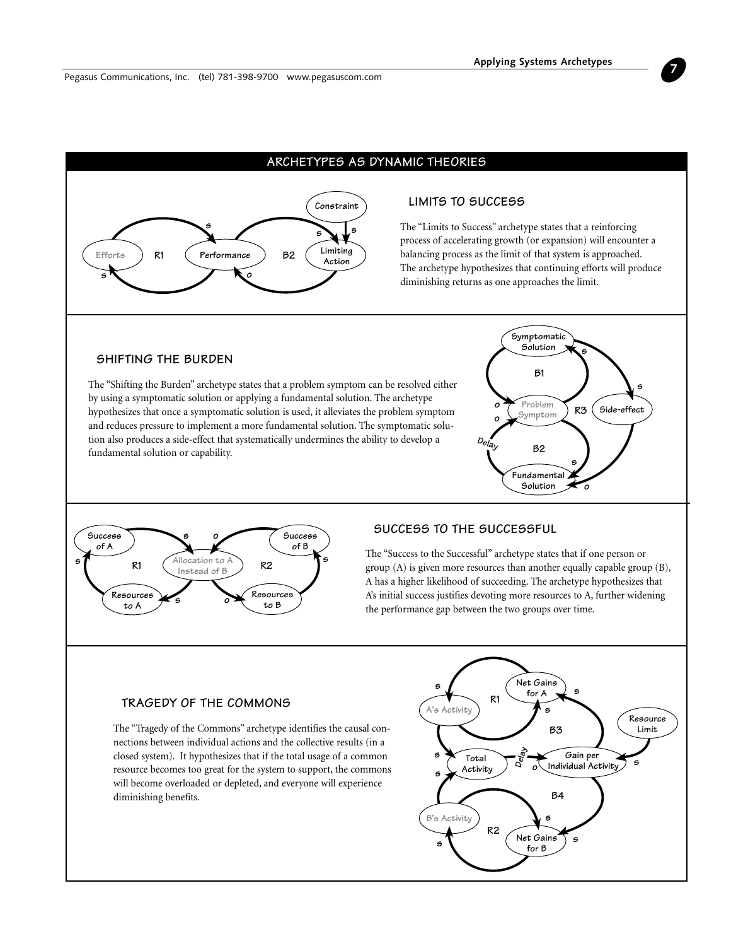

# **ARCHETYPES AS DYNAMIC THEORIES**

# **LIMITS TO SUCCESS**

The "Limits to Success" archetype states that a reinforcing process of accelerating growth (or expansion) will encounter a balancing process as the limit of that system is approached. The archetype hypothesizes that continuing efforts will produce diminishing returns as one approaches the limit.

# **SHIFTING THE BURDEN**

The "Shifting the Burden" archetype states that a problem symptom can be resolved either by using a symptomatic solution or applying a fundamental solution. The archetype hypothesizes that once a symptomatic solution is used, it alleviates the problem symptom and reduces pressure to implement a more fundamental solution. The symptomatic solution also produces a side-effect that systematically undermines the ability to develop a fundamental solution or capability.





# **SUCCESS TO THE SUCCESSFUL**

The "Success to the Successful" archetype states that if one person or group (A) is given more resources than another equally capable group (B), A has a higher likelihood of succeeding. The archetype hypothesizes that A's initial success justifies devoting more resources to A, further widening the performance gap between the two groups over time.

# **TRAGEDY OF THE COMMONS**

The "Tragedy of the Commons" archetype identifies the causal connections between individual actions and the collective results (in a closed system). It hypothesizes that if the total usage of a common resource becomes too great for the system to support, the commons will become overloaded or depleted, and everyone will experience diminishing benefits.



**7**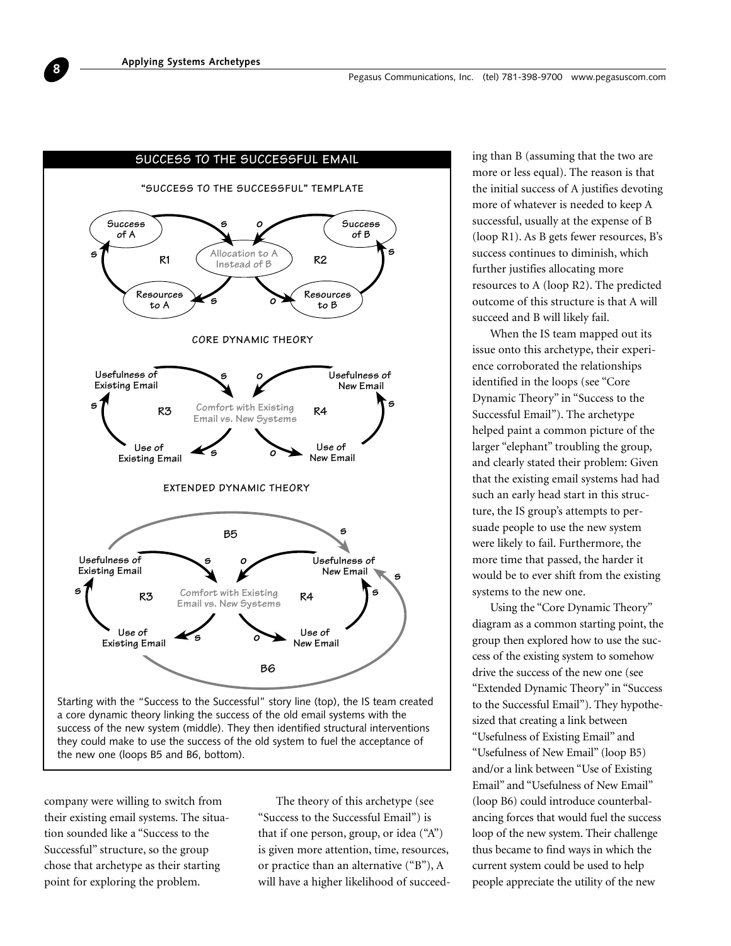

they could make to use the success of the old system to fuel the acceptance of the new one (loops B5 and B6, bottom).

company were willing to switch from their existing email systems. The situation sounded like a "Success to the Successful" structure, so the group chose that archetype as their starting point for exploring the problem.

The theory of this archetype (see "Success to the Successful Email") is that if one person, group, or idea ("A") is given more attention, time, resources, or practice than an alternative ("B"), A will have a higher likelihood of succeed-

ing than B (assuming that the two are more or less equal). The reason is that the initial success of A justifies devoting more of whatever is needed to keep A successful, usually at the expense of B (loop R1). As B gets fewer resources, B's success continues to diminish, which further justifies allocating more resources to A (loop R2). The predicted outcome of this structure is that A will succeed and B will likely fail.

When the IS team mapped out its issue onto this archetype, their experience corroborated the relationships identified in the loops (see "Core Dynamic Theory" in "Success to the Successful Email"). The archetype helped paint a common picture of the larger "elephant" troubling the group, and clearly stated their problem: Given that the existing email systems had had such an early head start in this structure, the IS group's attempts to persuade people to use the new system were likely to fail. Furthermore, the more time that passed, the harder it would be to ever shift from the existing systems to the new one.

Using the "Core Dynamic Theory" diagram as a common starting point, the group then explored how to use the success of the existing system to somehow drive the success of the new one (see "Extended Dynamic Theory" in "Success to the Successful Email"). They hypothesized that creating a link between "Usefulness of Existing Email" and "Usefulness of New Email" (loop B5) and/or a link between "Use of Existing Email" and "Usefulness of New Email" (loop B6) could introduce counterbalancing forces that would fuel the success loop of the new system. Their challenge thus became to find ways in which the current system could be used to help people appreciate the utility of the new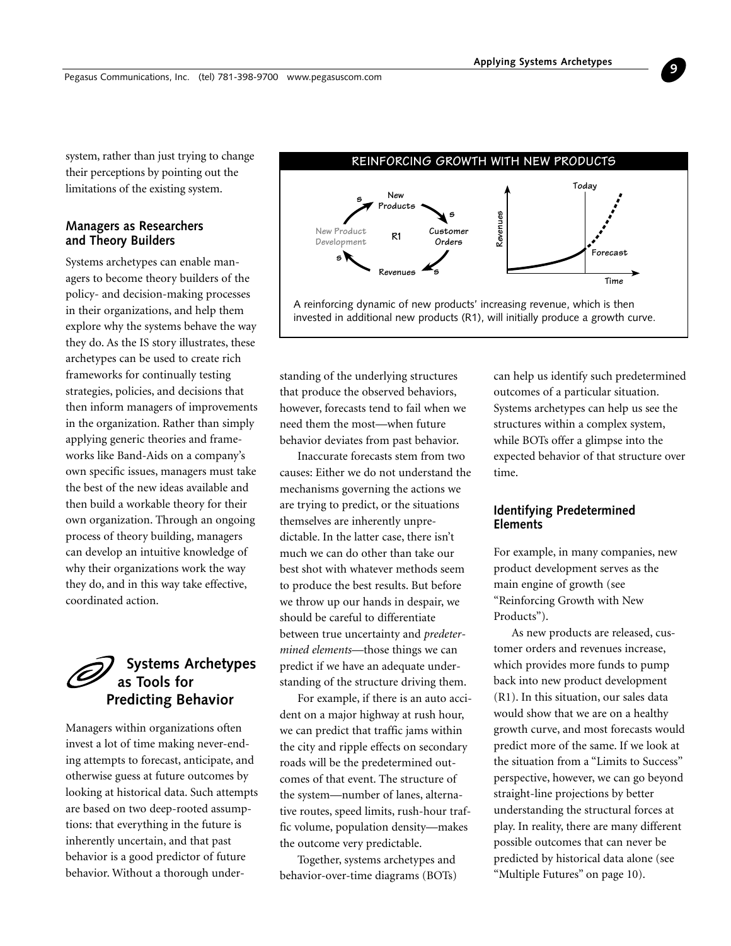<span id="page-8-0"></span>system, rather than just trying to change their perceptions by pointing out the limitations of the existing system.

# **Managers as Researchers and Theory Builders**

Systems archetypes can enable managers to become theory builders of the policy- and decision-making processes in their organizations, and help them explore why the systems behave the way they do. As the IS story illustrates, these archetypes can be used to create rich frameworks for continually testing strategies, policies, and decisions that then inform managers of improvements in the organization. Rather than simply applying generic theories and frameworks like Band-Aids on a company's own specific issues, managers must take the best of the new ideas available and then build a workable theory for their own organization. Through an ongoing process of theory building, managers can develop an intuitive knowledge of why their organizations work the way they do, and in this way take effective, coordinated action.

# **Systems Archetypes as Tools for Predicting Behavior**

Managers within organizations often invest a lot of time making never-ending attempts to forecast, anticipate, and otherwise guess at future outcomes by looking at historical data. Such attempts are based on two deep-rooted assumptions: that everything in the future is inherently uncertain, and that past behavior is a good predictor of future behavior. Without a thorough under-



standing of the underlying structures that produce the observed behaviors, however, forecasts tend to fail when we need them the most—when future behavior deviates from past behavior.

Inaccurate forecasts stem from two causes: Either we do not understand the mechanisms governing the actions we are trying to predict, or the situations themselves are inherently unpredictable. In the latter case, there isn't much we can do other than take our best shot with whatever methods seem to produce the best results. But before we throw up our hands in despair, we should be careful to differentiate between true uncertainty and *predetermined elements*—those things we can predict if we have an adequate understanding of the structure driving them.

For example, if there is an auto accident on a major highway at rush hour, we can predict that traffic jams within the city and ripple effects on secondary roads will be the predetermined outcomes of that event. The structure of the system—number of lanes, alternative routes, speed limits, rush-hour traffic volume, population density—makes the outcome very predictable.

Together, systems archetypes and behavior-over-time diagrams (BOTs) can help us identify such predetermined outcomes of a particular situation. Systems archetypes can help us see the structures within a complex system, while BOTs offer a glimpse into the expected behavior of that structure over time.

# **Identifying Predetermined Elements**

For example, in many companies, new product development serves as the main engine of growth (see "Reinforcing Growth with New Products").

As new products are released, customer orders and revenues increase, which provides more funds to pump back into new product development (R1). In this situation, our sales data would show that we are on a healthy growth curve, and most forecasts would predict more of the same. If we look at the situation from a "Limits to Success" perspective, however, we can go beyond straight-line projections by better understanding the structural forces at play. In reality, there are many different possible outcomes that can never be predicted by historical data alone (see "Multiple Futures" on page 10).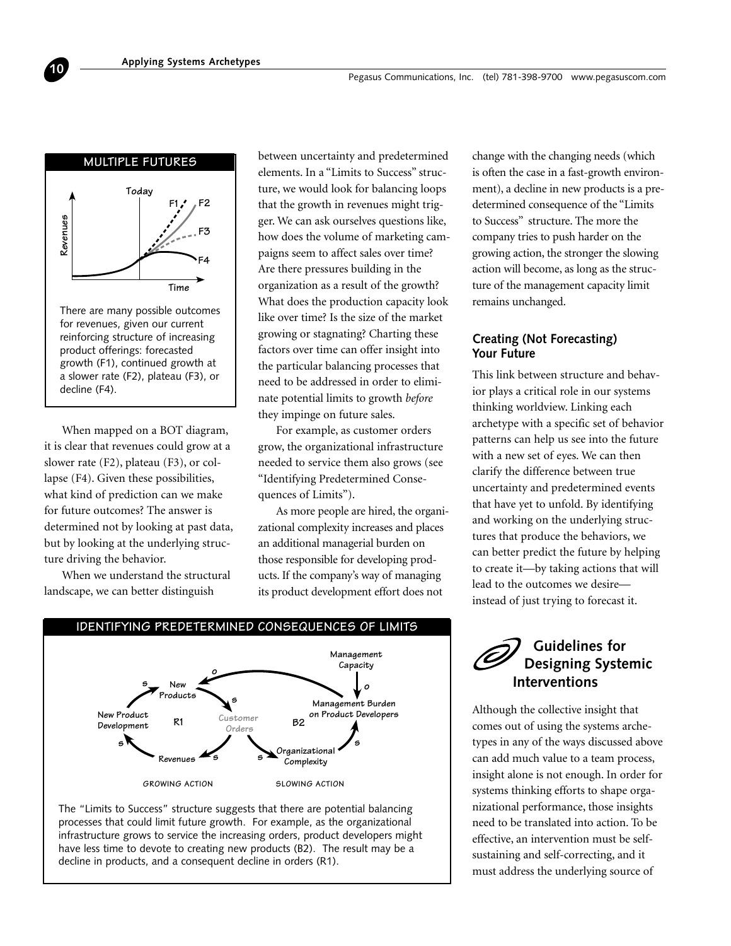<span id="page-9-0"></span>

There are many possible outcomes for revenues, given our current reinforcing structure of increasing product offerings: forecasted growth (F1), continued growth at a slower rate (F2), plateau (F3), or

When mapped on a BOT diagram, it is clear that revenues could grow at a slower rate (F2), plateau (F3), or collapse (F4). Given these possibilities, what kind of prediction can we make for future outcomes? The answer is determined not by looking at past data, but by looking at the underlying structure driving the behavior.

When we understand the structural landscape, we can better distinguish

between uncertainty and predetermined elements. In a "Limits to Success" structure, we would look for balancing loops that the growth in revenues might trigger. We can ask ourselves questions like, how does the volume of marketing campaigns seem to affect sales over time? Are there pressures building in the organization as a result of the growth? What does the production capacity look like over time? Is the size of the market growing or stagnating? Charting these factors over time can offer insight into the particular balancing processes that need to be addressed in order to eliminate potential limits to growth *before* they impinge on future sales.

For example, as customer orders grow, the organizational infrastructure needed to service them also grows (see "Identifying Predetermined Consequences of Limits").

As more people are hired, the organizational complexity increases and places an additional managerial burden on those responsible for developing products. If the company's way of managing its product development effort does not



The "Limits to Success" structure suggests that there are potential balancing processes that could limit future growth. For example, as the organizational infrastructure grows to service the increasing orders, product developers might have less time to devote to creating new products (B2). The result may be a decline in products, and a consequent decline in orders (R1).

change with the changing needs (which is often the case in a fast-growth environment), a decline in new products is a predetermined consequence of the "Limits to Success" structure. The more the company tries to push harder on the growing action, the stronger the slowing action will become, as long as the structure of the management capacity limit remains unchanged.

# **Creating (Not Forecasting) Your Future**

This link between structure and behavior plays a critical role in our systems thinking worldview. Linking each archetype with a specific set of behavior patterns can help us see into the future with a new set of eyes. We can then clarify the difference between true uncertainty and predetermined events that have yet to unfold. By identifying and working on the underlying structures that produce the behaviors, we can better predict the future by helping to create it—by taking actions that will lead to the outcomes we desire instead of just trying to forecast it.

# **Guidelines for Designing Systemic Interventions**

Although the collective insight that comes out of using the systems archetypes in any of the ways discussed above can add much value to a team process, insight alone is not enough. In order for systems thinking efforts to shape organizational performance, those insights need to be translated into action. To be effective, an intervention must be selfsustaining and self-correcting, and it must address the underlying source of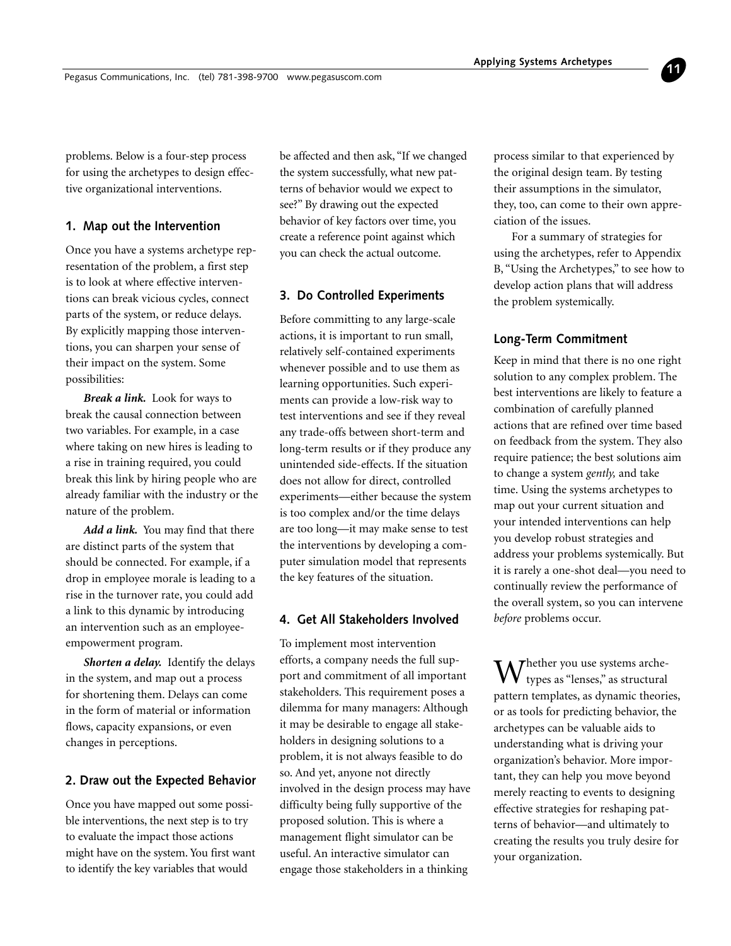problems. Below is a four-step process for using the archetypes to design effective organizational interventions.

### **1. Map out the Intervention**

Once you have a systems archetype representation of the problem, a first step is to look at where effective interventions can break vicious cycles, connect parts of the system, or reduce delays. By explicitly mapping those interventions, you can sharpen your sense of their impact on the system. Some possibilities:

*Break a link.* Look for ways to break the causal connection between two variables. For example, in a case where taking on new hires is leading to a rise in training required, you could break this link by hiring people who are already familiar with the industry or the nature of the problem.

*Add a link.* You may find that there are distinct parts of the system that should be connected. For example, if a drop in employee morale is leading to a rise in the turnover rate, you could add a link to this dynamic by introducing an intervention such as an employeeempowerment program.

*Shorten a delay.* Identify the delays in the system, and map out a process for shortening them. Delays can come in the form of material or information flows, capacity expansions, or even changes in perceptions.

# **2. Draw out the Expected Behavior**

Once you have mapped out some possible interventions, the next step is to try to evaluate the impact those actions might have on the system. You first want to identify the key variables that would

be affected and then ask, "If we changed the system successfully, what new patterns of behavior would we expect to see?" By drawing out the expected behavior of key factors over time, you create a reference point against which you can check the actual outcome.

# **3. Do Controlled Experiments**

Before committing to any large-scale actions, it is important to run small, relatively self-contained experiments whenever possible and to use them as learning opportunities. Such experiments can provide a low-risk way to test interventions and see if they reveal any trade-offs between short-term and long-term results or if they produce any unintended side-effects. If the situation does not allow for direct, controlled experiments—either because the system is too complex and/or the time delays are too long—it may make sense to test the interventions by developing a computer simulation model that represents the key features of the situation.

# **4. Get All Stakeholders Involved**

To implement most intervention efforts, a company needs the full support and commitment of all important stakeholders. This requirement poses a dilemma for many managers: Although it may be desirable to engage all stakeholders in designing solutions to a problem, it is not always feasible to do so. And yet, anyone not directly involved in the design process may have difficulty being fully supportive of the proposed solution. This is where a management flight simulator can be useful. An interactive simulator can engage those stakeholders in a thinking

process similar to that experienced by the original design team. By testing their assumptions in the simulator, they, too, can come to their own appreciation of the issues.

**11**

For a summary of strategies for using the archetypes, refer to Appendix B, "Using the Archetypes," to see how to develop action plans that will address the problem systemically.

# **Long-Term Commitment**

Keep in mind that there is no one right solution to any complex problem. The best interventions are likely to feature a combination of carefully planned actions that are refined over time based on feedback from the system. They also require patience; the best solutions aim to change a system *gently,* and take time. Using the systems archetypes to map out your current situation and your intended interventions can help you develop robust strategies and address your problems systemically. But it is rarely a one-shot deal—you need to continually review the performance of the overall system, so you can intervene *before* problems occur.

 $\mathbf{W}$ <sup>hether you use systems arche-</sup> types as "lenses," as structural pattern templates, as dynamic theories, or as tools for predicting behavior, the archetypes can be valuable aids to understanding what is driving your organization's behavior. More important, they can help you move beyond merely reacting to events to designing effective strategies for reshaping patterns of behavior—and ultimately to creating the results you truly desire for your organization.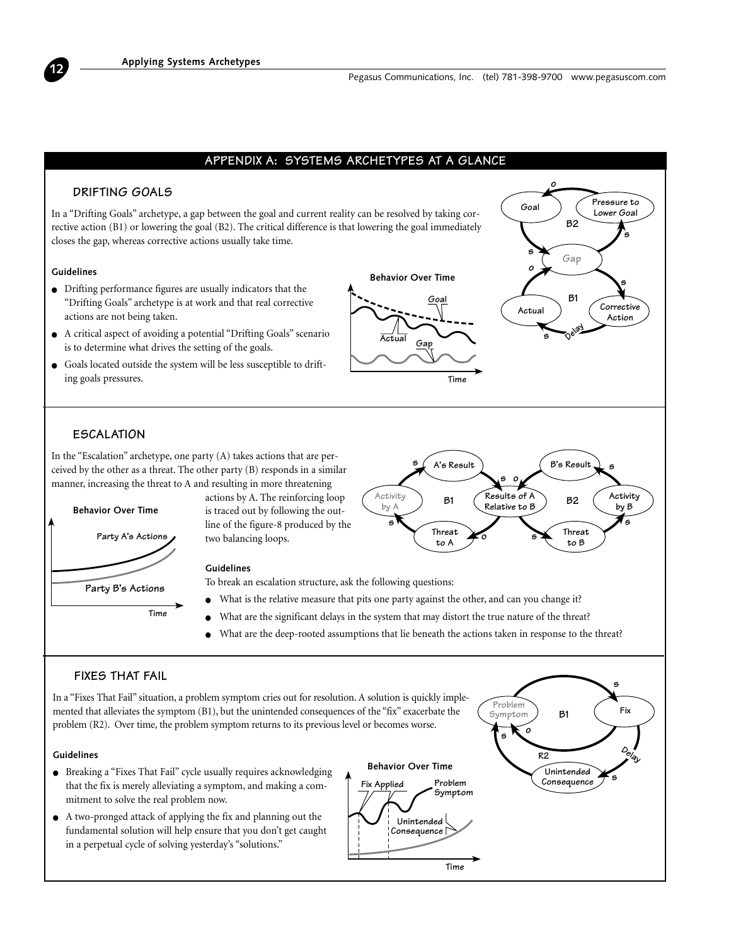# **APPENDIX A: SYSTEMS ARCHETYPES AT A GLANCE**

# **DRIFTING GOALS**

In a "Drifting Goals" archetype, a gap between the goal and current reality can be resolved by taking corrective action (B1) or lowering the goal (B2). The critical difference is that lowering the goal immediately closes the gap, whereas corrective actions usually take time.

# **Guidelines**

<span id="page-11-0"></span>**12**

- Drifting performance figures are usually indicators that the "Drifting Goals" archetype is at work and that real corrective actions are not being taken.
- A critical aspect of avoiding a potential "Drifting Goals" scenario is to determine what drives the setting of the goals.
- Goals located outside the system will be less susceptible to drifting goals pressures.



**s**



# **ESCALATION**

In the "Escalation" archetype, one party (A) takes actions that are perceived by the other as a threat. The other party (B) responds in a similar manner, increasing the threat to A and resulting in more threatening



actions by A. The reinforcing loop is traced out by following the outline of the figure-8 produced by the two balancing loops.

#### **Guidelines**

To break an escalation structure, ask the following questions:

What is the relative measure that pits one party against the other, and can you change it?

**Activity by A**

**s**

- What are the significant delays in the system that may distort the true nature of the threat?
- What are the deep-rooted assumptions that lie beneath the actions taken in response to the threat?

# **FIXES THAT FAIL**

In a "Fixes That Fail" situation, a problem symptom cries out for resolution. A solution is quickly implemented that alleviates the symptom (B1), but the unintended consequences of the "fix" exacerbate the problem (R2). Over time, the problem symptom returns to its previous level or becomes worse.

#### **Guidelines**

- Breaking a "Fixes That Fail" cycle usually requires acknowledging that the fix is merely alleviating a symptom, and making a commitment to solve the real problem now.
- A two-pronged attack of applying the fix and planning out the fundamental solution will help ensure that you don't get caught in a perpetual cycle of solving yesterday's "solutions."





**Threat to B**

**B2**

**B's Result**

**s**

**Activity by B**

**s**

**Results of A Relative to B**

**s o**

**s**

**o**

**Threat to A**

**B1**

**A's Result**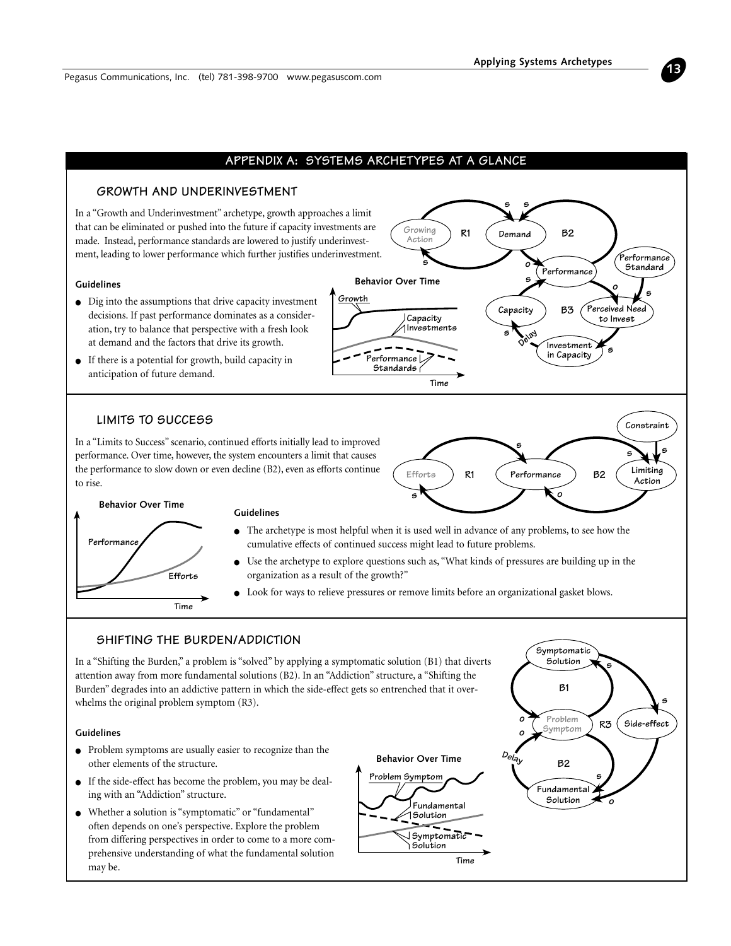

# **APPENDIX A: SYSTEMS ARCHETYPES AT A GLANCE**

**Growth**

# **GROWTH AND UNDERINVESTMENT**

In a "Growth and Underinvestment" archetype, growth approaches a limit that can be eliminated or pushed into the future if capacity investments are made. Instead, performance standards are lowered to justify underinvestment, leading to lower performance which further justifies underinvestment.

### **Guidelines**

- Dig into the assumptions that drive capacity investment decisions. If past performance dominates as a consideration, try to balance that perspective with a fresh look at demand and the factors that drive its growth.
- If there is a potential for growth, build capacity in anticipation of future demand.

# **LIMITS TO SUCCESS**

In a "Limits to Success" scenario, continued efforts initially lead to improved performance. Over time, however, the system encounters a limit that causes the performance to slow down or even decline (B2), even as efforts continue to rise.



**s**

**o**

**s**

**Delay**

**s**

**Demand**

**s**

**R1**

**Growing Action**

**s**

**Capacity Investments**

**Performance Standards**

**Behavior Over Time**

Capacity **B3** Perceived Need

**B3**

**Investment in Capacity**

**Performance**

**B2**

**to Invest**

**o**

**s**

**Performance Standard**

**s**



#### **Guidelines**

● The archetype is most helpful when it is used well in advance of any problems, to see how the cumulative effects of continued success might lead to future problems.

**Time**

- Use the archetype to explore questions such as, "What kinds of pressures are building up in the organization as a result of the growth?"
- Look for ways to relieve pressures or remove limits before an organizational gasket blows.

# **SHIFTING THE BURDEN/ADDICTION**

In a "Shifting the Burden," a problem is "solved" by applying a symptomatic solution (B1) that diverts attention away from more fundamental solutions (B2). In an "Addiction" structure, a "Shifting the Burden" degrades into an addictive pattern in which the side-effect gets so entrenched that it overwhelms the original problem symptom (R3).

#### **Guidelines**

- Problem symptoms are usually easier to recognize than the other elements of the structure.
- If the side-effect has become the problem, you may be dealing with an "Addiction" structure.
- Whether a solution is "symptomatic" or "fundamental" often depends on one's perspective. Explore the problem from differing perspectives in order to come to a more comprehensive understanding of what the fundamental solution may be.



**B1**

**s**

**Symptomatic Solution**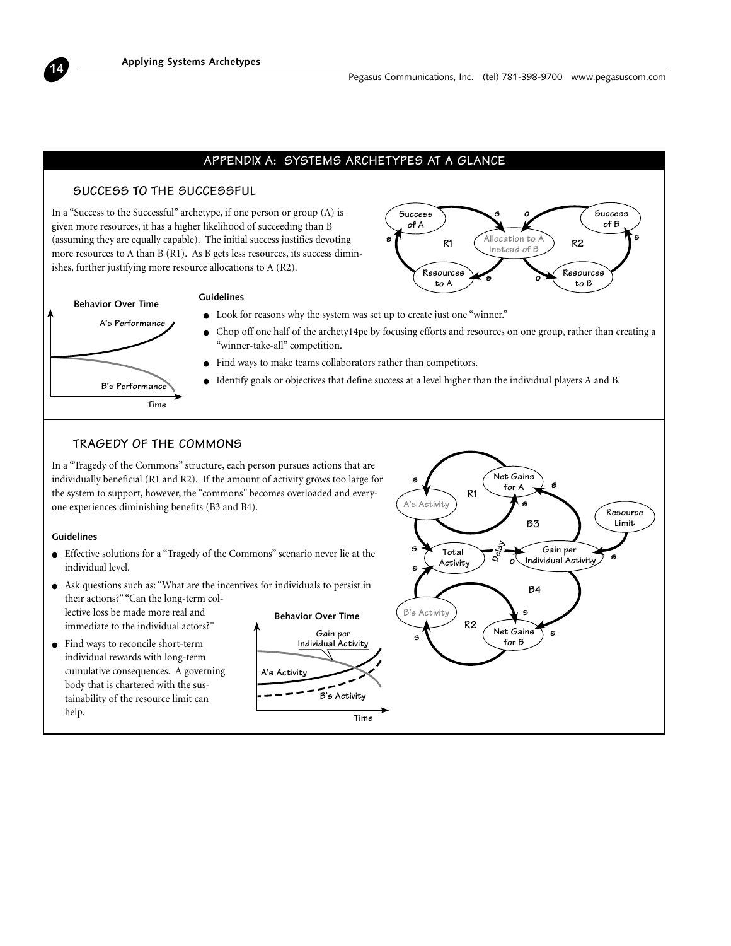# **APPENDIX A: SYSTEMS ARCHETYPES AT A GLANCE**

# **SUCCESS TO THE SUCCESSFUL**

In a "Success to the Successful" archetype, if one person or group (A) is given more resources, it has a higher likelihood of succeeding than B (assuming they are equally capable). The initial success justifies devoting more resources to A than B (R1). As B gets less resources, its success diminishes, further justifying more resource allocations to A (R2).





#### **Guidelines**

- Look for reasons why the system was set up to create just one "winner."
- Chop off one half of the archety14pe by focusing efforts and resources on one group, rather than creating a "winner-take-all" competition.
- Find ways to make teams collaborators rather than competitors.
- Identify goals or objectives that define success at a level higher than the individual players A and B.

# **TRAGEDY OF THE COMMONS**

In a "Tragedy of the Commons" structure, each person pursues actions that are individually beneficial (R1 and R2). If the amount of activity grows too large for the system to support, however, the "commons" becomes overloaded and everyone experiences diminishing benefits (B3 and B4).

#### **Guidelines**

**14**

- Effective solutions for a "Tragedy of the Commons" scenario never lie at the individual level.
- Ask questions such as: "What are the incentives for individuals to persist in their actions?" "Can the long-term col-

lective loss be made more real and immediate to the individual actors?"

● Find ways to reconcile short-term individual rewards with long-term cumulative consequences. A governing body that is chartered with the sustainability of the resource limit can help.



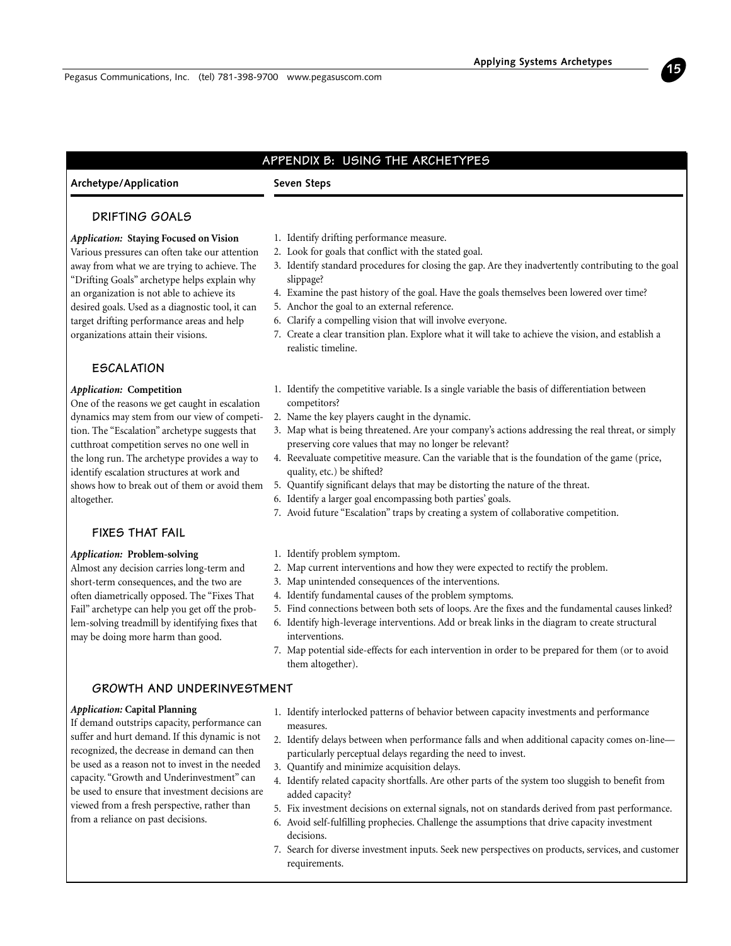# **APPENDIX B: USING THE ARCHETYPES**

# <span id="page-14-0"></span>**Archetype/Application**

# **Seven Steps**

# **DRIFTING GOALS**

#### *Application:* **Staying Focused on Vision**

Various pressures can often take our attention away from what we are trying to achieve. The "Drifting Goals" archetype helps explain why an organization is not able to achieve its desired goals. Used as a diagnostic tool, it can target drifting performance areas and help organizations attain their visions.

# **ESCALATION**

#### *Application:* **Competition**

One of the reasons we get caught in escalation dynamics may stem from our view of competition. The "Escalation" archetype suggests that cutthroat competition serves no one well in the long run. The archetype provides a way to identify escalation structures at work and shows how to break out of them or avoid them altogether.

# **FIXES THAT FAIL**

#### *Application:* **Problem-solving**

Almost any decision carries long-term and short-term consequences, and the two are often diametrically opposed. The "Fixes That Fail" archetype can help you get off the problem-solving treadmill by identifying fixes that may be doing more harm than good.

# **GROWTH AND UNDERINVESTMENT**

#### *Application:* **Capital Planning**

If demand outstrips capacity, performance can suffer and hurt demand. If this dynamic is not recognized, the decrease in demand can then be used as a reason not to invest in the needed capacity. "Growth and Underinvestment" can be used to ensure that investment decisions are viewed from a fresh perspective, rather than from a reliance on past decisions.

- 1. Identify drifting performance measure.
- 2. Look for goals that conflict with the stated goal.
- 3. Identify standard procedures for closing the gap. Are they inadvertently contributing to the goal slippage?
	- 4. Examine the past history of the goal. Have the goals themselves been lowered over time?
	- 5. Anchor the goal to an external reference.
	- 6. Clarify a compelling vision that will involve everyone.
	- 7. Create a clear transition plan. Explore what it will take to achieve the vision, and establish a realistic timeline.
	- 1. Identify the competitive variable. Is a single variable the basis of differentiation between competitors?
	- 2. Name the key players caught in the dynamic.
	- 3. Map what is being threatened. Are your company's actions addressing the real threat, or simply preserving core values that may no longer be relevant?
	- 4. Reevaluate competitive measure. Can the variable that is the foundation of the game (price, quality, etc.) be shifted?
	- 5. Quantify significant delays that may be distorting the nature of the threat.
	- 6. Identify a larger goal encompassing both parties' goals.
	- 7. Avoid future "Escalation" traps by creating a system of collaborative competition.
	- 1. Identify problem symptom.
	- 2. Map current interventions and how they were expected to rectify the problem.
- 3. Map unintended consequences of the interventions.
- 4. Identify fundamental causes of the problem symptoms.
- 5. Find connections between both sets of loops. Are the fixes and the fundamental causes linked?
- 6. Identify high-leverage interventions. Add or break links in the diagram to create structural interventions.
- 7. Map potential side-effects for each intervention in order to be prepared for them (or to avoid them altogether).
- 1. Identify interlocked patterns of behavior between capacity investments and performance measures.
- 2. Identify delays between when performance falls and when additional capacity comes on-line particularly perceptual delays regarding the need to invest.
- 3. Quantify and minimize acquisition delays.
- 4. Identify related capacity shortfalls. Are other parts of the system too sluggish to benefit from added capacity?
- 5. Fix investment decisions on external signals, not on standards derived from past performance.
- 6. Avoid self-fulfilling prophecies. Challenge the assumptions that drive capacity investment decisions.
- 7. Search for diverse investment inputs. Seek new perspectives on products, services, and customer requirements.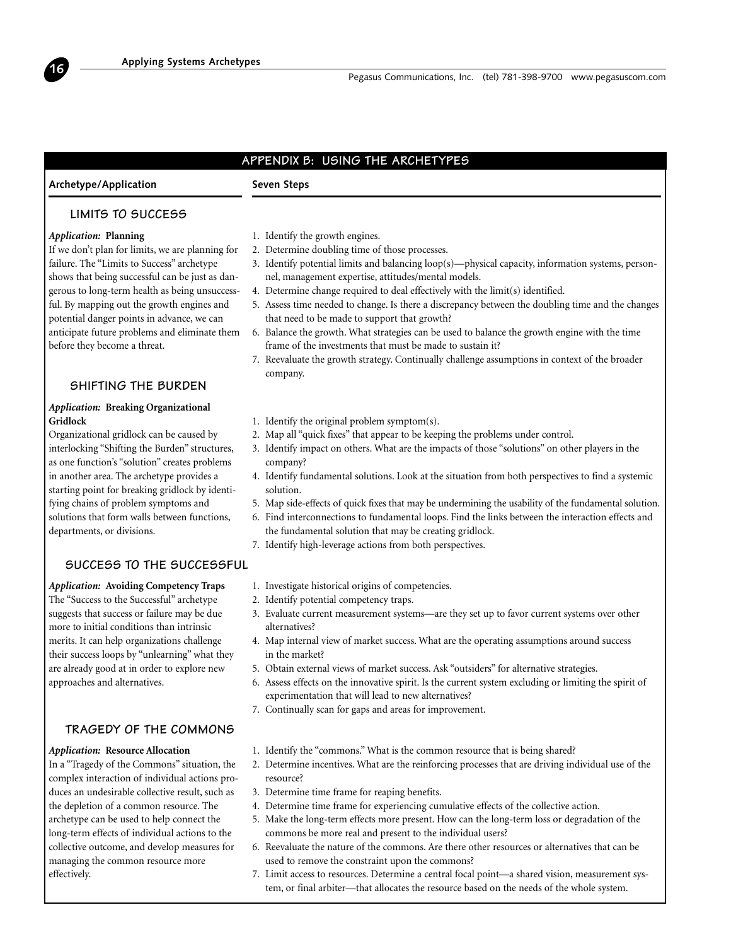# **APPENDIX B: USING THE ARCHETYPES**

# **Archetype/Application**

**16**

# **Seven Steps**

# **LIMITS TO SUCCESS**

#### *Application:* **Planning**

If we don't plan for limits, we are planning for failure. The "Limits to Success" archetype shows that being successful can be just as dangerous to long-term health as being unsuccessful. By mapping out the growth engines and potential danger points in advance, we can anticipate future problems and eliminate them before they become a threat.

# **SHIFTING THE BURDEN**

# *Application:* **Breaking Organizational Gridlock**

Organizational gridlock can be caused by interlocking "Shifting the Burden" structures, as one function's "solution" creates problems in another area. The archetype provides a starting point for breaking gridlock by identifying chains of problem symptoms and solutions that form walls between functions, departments, or divisions.

# **SUCCESS TO THE SUCCESSFUL**

*Application:* **Avoiding Competency Traps** The "Success to the Successful" archetype suggests that success or failure may be due more to initial conditions than intrinsic merits. It can help organizations challenge their success loops by "unlearning" what they are already good at in order to explore new approaches and alternatives.

# **TRAGEDY OF THE COMMONS**

#### *Application:* **Resource Allocation**

In a "Tragedy of the Commons" situation, the complex interaction of individual actions produces an undesirable collective result, such as the depletion of a common resource. The archetype can be used to help connect the long-term effects of individual actions to the collective outcome, and develop measures for managing the common resource more effectively.

- 1. Identify the growth engines.
- 2. Determine doubling time of those processes.
- 3. Identify potential limits and balancing loop(s)—physical capacity, information systems, personnel, management expertise, attitudes/mental models.
- 4. Determine change required to deal effectively with the limit(s) identified.
- 5. Assess time needed to change. Is there a discrepancy between the doubling time and the changes that need to be made to support that growth?
- 6. Balance the growth. What strategies can be used to balance the growth engine with the time frame of the investments that must be made to sustain it?
- 7. Reevaluate the growth strategy. Continually challenge assumptions in context of the broader company.
- 1. Identify the original problem symptom(s).
- 2. Map all "quick fixes" that appear to be keeping the problems under control.
- 3. Identify impact on others. What are the impacts of those "solutions" on other players in the company?
- 4. Identify fundamental solutions. Look at the situation from both perspectives to find a systemic solution.
- 5. Map side-effects of quick fixes that may be undermining the usability of the fundamental solution.
- 6. Find interconnections to fundamental loops. Find the links between the interaction effects and the fundamental solution that may be creating gridlock.
- 7. Identify high-leverage actions from both perspectives.
- 1. Investigate historical origins of competencies.
- 2. Identify potential competency traps.
- 3. Evaluate current measurement systems—are they set up to favor current systems over other alternatives?
- 4. Map internal view of market success. What are the operating assumptions around success in the market?
- 5. Obtain external views of market success. Ask "outsiders" for alternative strategies.
- 6. Assess effects on the innovative spirit. Is the current system excluding or limiting the spirit of experimentation that will lead to new alternatives?
- 7. Continually scan for gaps and areas for improvement.
- 1. Identify the "commons." What is the common resource that is being shared?
- 2. Determine incentives. What are the reinforcing processes that are driving individual use of the resource?
- 3. Determine time frame for reaping benefits.
- 4. Determine time frame for experiencing cumulative effects of the collective action.
- 5. Make the long-term effects more present. How can the long-term loss or degradation of the commons be more real and present to the individual users?
- 6. Reevaluate the nature of the commons. Are there other resources or alternatives that can be used to remove the constraint upon the commons?
- 7. Limit access to resources. Determine a central focal point—a shared vision, measurement system, or final arbiter—that allocates the resource based on the needs of the whole system.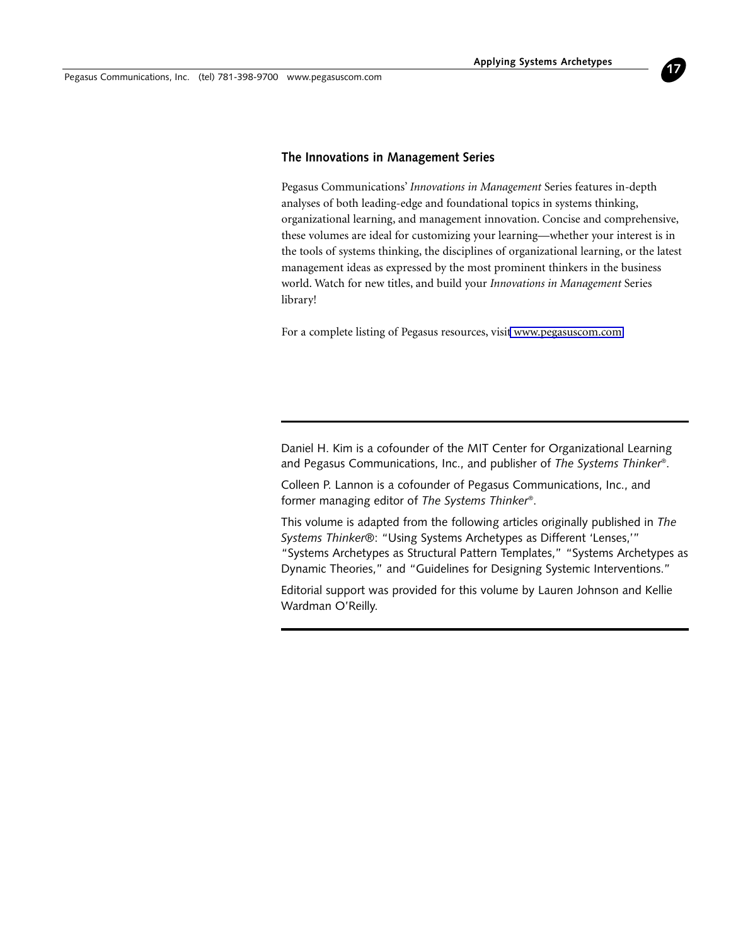Pegasus Communications, Inc. (tel) 781-398-9700 www.pegasuscom.com

# **The Innovations in Management Series**

Pegasus Communications' *Innovations in Management* Series features in-depth analyses of both leading-edge and foundational topics in systems thinking, organizational learning, and management innovation. Concise and comprehensive, these volumes are ideal for customizing your learning—whether your interest is in the tools of systems thinking, the disciplines of organizational learning, or the latest management ideas as expressed by the most prominent thinkers in the business world. Watch for new titles, and build your *Innovations in Management* Series library!

For a complete listing of Pegasus resources, visi[t www.pegasuscom.com.](http://www.pegasuscom.com)

Daniel H. Kim is a cofounder of the MIT Center for Organizational Learning and Pegasus Communications, Inc., and publisher of *The Systems Thinker*®.

Colleen P. Lannon is a cofounder of Pegasus Communications, Inc., and former managing editor of *The Systems Thinker*®.

This volume is adapted from the following articles originally published in *The Systems Thinker*®: "Using Systems Archetypes as Different 'Lenses,'" "Systems Archetypes as Structural Pattern Templates," "Systems Archetypes as Dynamic Theories," and "Guidelines for Designing Systemic Interventions."

Editorial support was provided for this volume by Lauren Johnson and Kellie Wardman O'Reilly.